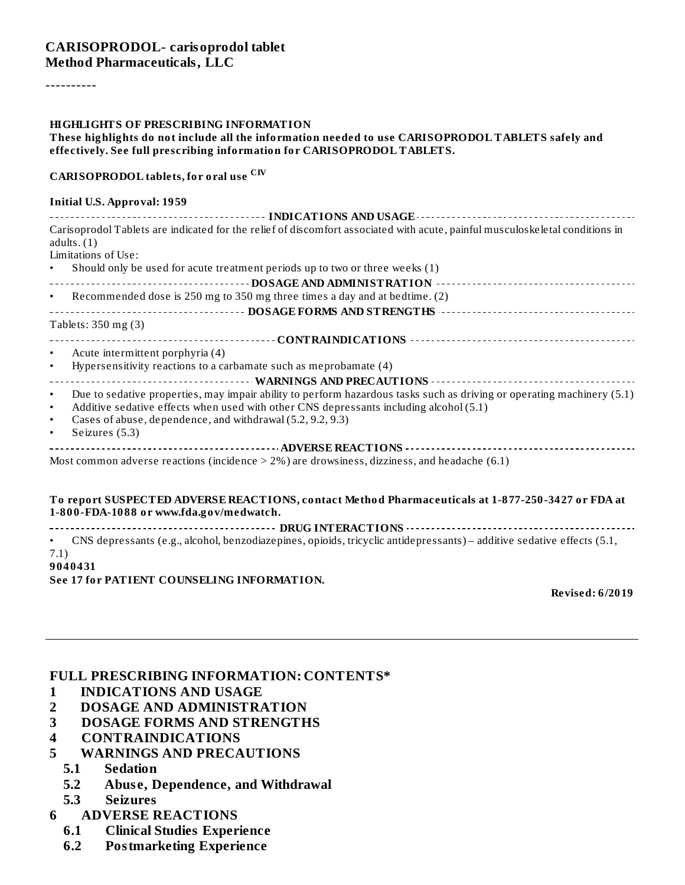#### **CARISOPRODOL- carisoprodol tablet Method Pharmaceuticals, LLC**

----------

#### **HIGHLIGHTS OF PRESCRIBING INFORMATION**

#### **These highlights do not include all the information needed to use CARISOPRODOL TABLETS safely and effectively. See full prescribing information for CARISOPRODOL TABLETS.**

#### **CARISOPRODOL tablets, for oral use CIV**

#### **Initial U.S. Approval: 1959**

|             | Carisoprodol Tablets are indicated for the relief of discomfort associated with acute, painful musculoskeletal conditions in                 |
|-------------|----------------------------------------------------------------------------------------------------------------------------------------------|
| adults. (1) |                                                                                                                                              |
|             | Limitations of Use:                                                                                                                          |
| $\bullet$   | Should only be used for acute treatment periods up to two or three weeks (1)                                                                 |
|             |                                                                                                                                              |
| $\bullet$   | Recommended dose is 250 mg to 350 mg three times a day and at bedtime. (2)                                                                   |
|             |                                                                                                                                              |
|             | Tablets: 350 mg (3)                                                                                                                          |
|             |                                                                                                                                              |
| $\bullet$   | Acute intermittent porphyria (4)                                                                                                             |
| $\bullet$   | Hypersensitivity reactions to a carbamate such as meprobamate (4)                                                                            |
|             |                                                                                                                                              |
| $\bullet$   | Due to sedative properties, may impair ability to perform hazardous tasks such as driving or operating machinery (5.1)                       |
| $\bullet$   | Additive sedative effects when used with other CNS depressants including alcohol (5.1)                                                       |
| $\bullet$   | Cases of abuse, dependence, and withdrawal (5.2, 9.2, 9.3)                                                                                   |
| $\bullet$   | Seizures (5.3)                                                                                                                               |
|             |                                                                                                                                              |
|             | Most common adverse reactions (incidence $> 2\%$ ) are drowsiness, dizziness, and headache (6.1)                                             |
|             |                                                                                                                                              |
|             | To report SUSPECTED ADVERSE REACTIONS, contact Method Pharmaceuticals at 1-877-250-3427 or FDA at<br>1-800-FDA-1088 or www.fda.gov/medwatch. |
|             |                                                                                                                                              |
|             | • CNS depressants (e.g., alcohol, benzodiazepines, opioids, tricyclic antidepressants) – additive sedative effects (5.1,                     |

#### 7.1) **9040431**

**See 17 for PATIENT COUNSELING INFORMATION.**

**Revised: 6/2019**

#### **FULL PRESCRIBING INFORMATION: CONTENTS\***

- **1 INDICATIONS AND USAGE**
- **2 DOSAGE AND ADMINISTRATION**
- **3 DOSAGE FORMS AND STRENGTHS**
- **4 CONTRAINDICATIONS**
- **5 WARNINGS AND PRECAUTIONS**
	- **5.1 Sedation**
	- **5.2 Abus e, Dependence, and Withdrawal**
	- **5.3 Seizures**
- **6 ADVERSE REACTIONS**
	- **6.1 Clinical Studies Experience**
	- **6.2 Postmarketing Experience**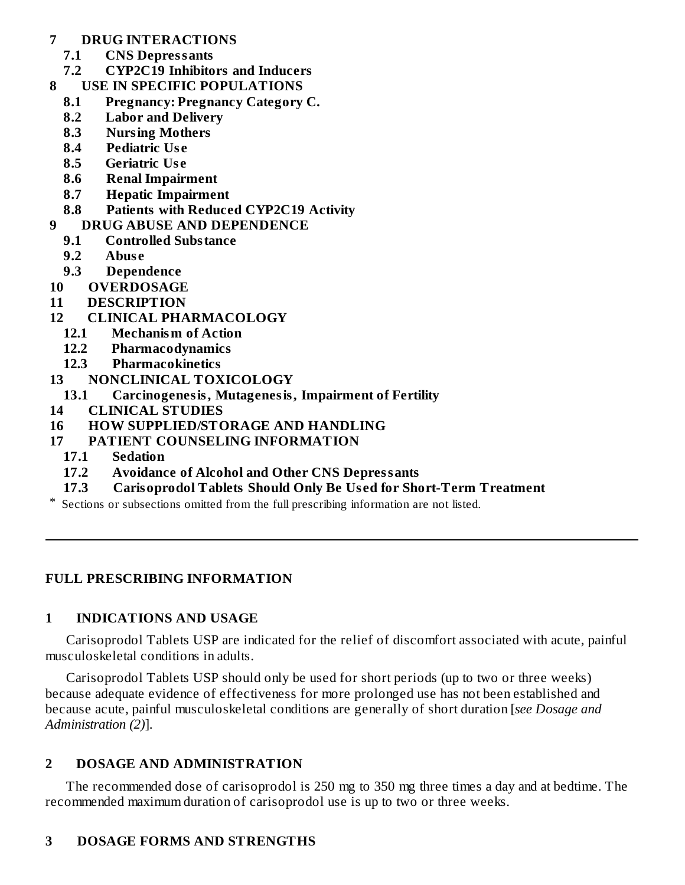### **7 DRUG INTERACTIONS**

- **7.1 CNS Depressants**
- **7.2 CYP2C19 Inhibitors and Inducers**
- **8 USE IN SPECIFIC POPULATIONS**
	- **8.1 Pregnancy: Pregnancy Category C.**
	- **8.2 Labor and Delivery**
	- **8.3 Nursing Mothers**
	- **8.4 Pediatric Us e**
	- **8.5 Geriatric Us e**
	- **8.6 Renal Impairment**
	- **8.7 Hepatic Impairment**
	- **8.8 Patients with Reduced CYP2C19 Activity**
- **9 DRUG ABUSE AND DEPENDENCE**
	- **9.1 Controlled Substance**
	- **9.2 Abus e**
	- **9.3 Dependence**
- **10 OVERDOSAGE**
- **11 DESCRIPTION**
- **12 CLINICAL PHARMACOLOGY**
	- **12.1 Mechanism of Action**
	- **12.2 Pharmacodynamics**
	- **12.3 Pharmacokinetics**
- **13 NONCLINICAL TOXICOLOGY**
	- **13.1 Carcinogenesis, Mutagenesis, Impairment of Fertility**
- **14 CLINICAL STUDIES**
- **16 HOW SUPPLIED/STORAGE AND HANDLING**
- **17 PATIENT COUNSELING INFORMATION**
	- **17.1 Sedation**
	- **17.2 Avoidance of Alcohol and Other CNS Depressants**
	- **17.3 Carisoprodol Tablets Should Only Be Us ed for Short-Term Treatment**
- \* Sections or subsections omitted from the full prescribing information are not listed.

### **FULL PRESCRIBING INFORMATION**

### **1 INDICATIONS AND USAGE**

Carisoprodol Tablets USP are indicated for the relief of discomfort associated with acute, painful musculoskeletal conditions in adults.

Carisoprodol Tablets USP should only be used for short periods (up to two or three weeks) because adequate evidence of effectiveness for more prolonged use has not been established and because acute, painful musculoskeletal conditions are generally of short duration [*see Dosage and Administration (2)*].

### **2 DOSAGE AND ADMINISTRATION**

The recommended dose of carisoprodol is 250 mg to 350 mg three times a day and at bedtime. The recommended maximum duration of carisoprodol use is up to two or three weeks.

### **3 DOSAGE FORMS AND STRENGTHS**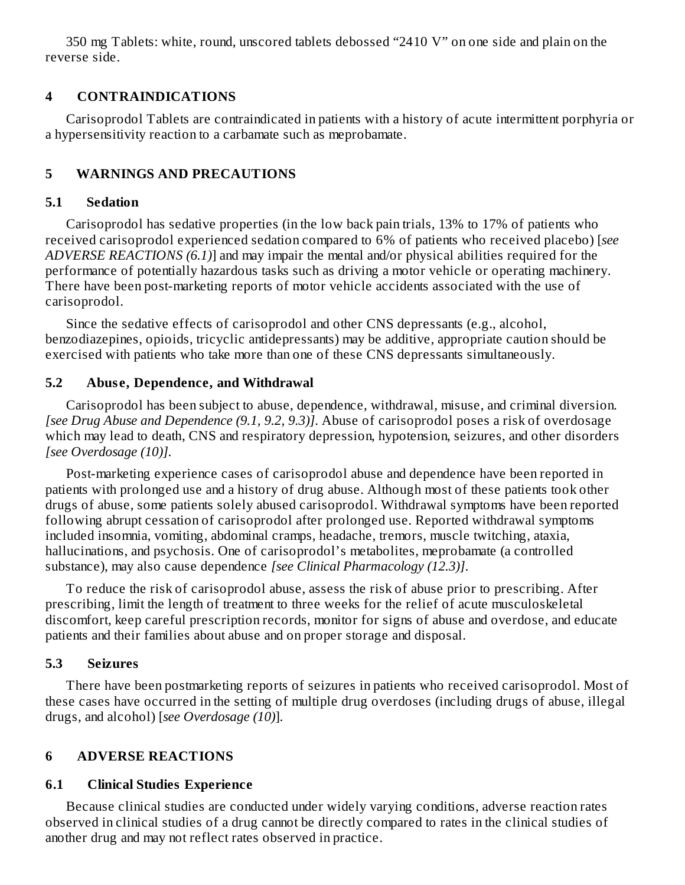350 mg Tablets: white, round, unscored tablets debossed "2410 V" on one side and plain on the reverse side.

### **4 CONTRAINDICATIONS**

Carisoprodol Tablets are contraindicated in patients with a history of acute intermittent porphyria or a hypersensitivity reaction to a carbamate such as meprobamate.

### **5 WARNINGS AND PRECAUTIONS**

### **5.1 Sedation**

Carisoprodol has sedative properties (in the low back pain trials, 13% to 17% of patients who received carisoprodol experienced sedation compared to 6% of patients who received placebo) [*see ADVERSE REACTIONS (6.1)*] and may impair the mental and/or physical abilities required for the performance of potentially hazardous tasks such as driving a motor vehicle or operating machinery. There have been post-marketing reports of motor vehicle accidents associated with the use of carisoprodol.

Since the sedative effects of carisoprodol and other CNS depressants (e.g., alcohol, benzodiazepines, opioids, tricyclic antidepressants) may be additive, appropriate caution should be exercised with patients who take more than one of these CNS depressants simultaneously.

### **5.2 Abus e, Dependence, and Withdrawal**

Carisoprodol has been subject to abuse, dependence, withdrawal, misuse, and criminal diversion. *[see Drug Abuse and Dependence (9.1, 9.2, 9.3)]*. Abuse of carisoprodol poses a risk of overdosage which may lead to death, CNS and respiratory depression, hypotension, seizures, and other disorders *[see Overdosage (10)]*.

Post-marketing experience cases of carisoprodol abuse and dependence have been reported in patients with prolonged use and a history of drug abuse. Although most of these patients took other drugs of abuse, some patients solely abused carisoprodol. Withdrawal symptoms have been reported following abrupt cessation of carisoprodol after prolonged use. Reported withdrawal symptoms included insomnia, vomiting, abdominal cramps, headache, tremors, muscle twitching, ataxia, hallucinations, and psychosis. One of carisoprodol's metabolites, meprobamate (a controlled substance), may also cause dependence *[see Clinical Pharmacology (12.3)]*.

To reduce the risk of carisoprodol abuse, assess the risk of abuse prior to prescribing. After prescribing, limit the length of treatment to three weeks for the relief of acute musculoskeletal discomfort, keep careful prescription records, monitor for signs of abuse and overdose, and educate patients and their families about abuse and on proper storage and disposal.

### **5.3 Seizures**

There have been postmarketing reports of seizures in patients who received carisoprodol. Most of these cases have occurred in the setting of multiple drug overdoses (including drugs of abuse, illegal drugs, and alcohol) [*see Overdosage (10)*].

# **6 ADVERSE REACTIONS**

### **6.1 Clinical Studies Experience**

Because clinical studies are conducted under widely varying conditions, adverse reaction rates observed in clinical studies of a drug cannot be directly compared to rates in the clinical studies of another drug and may not reflect rates observed in practice.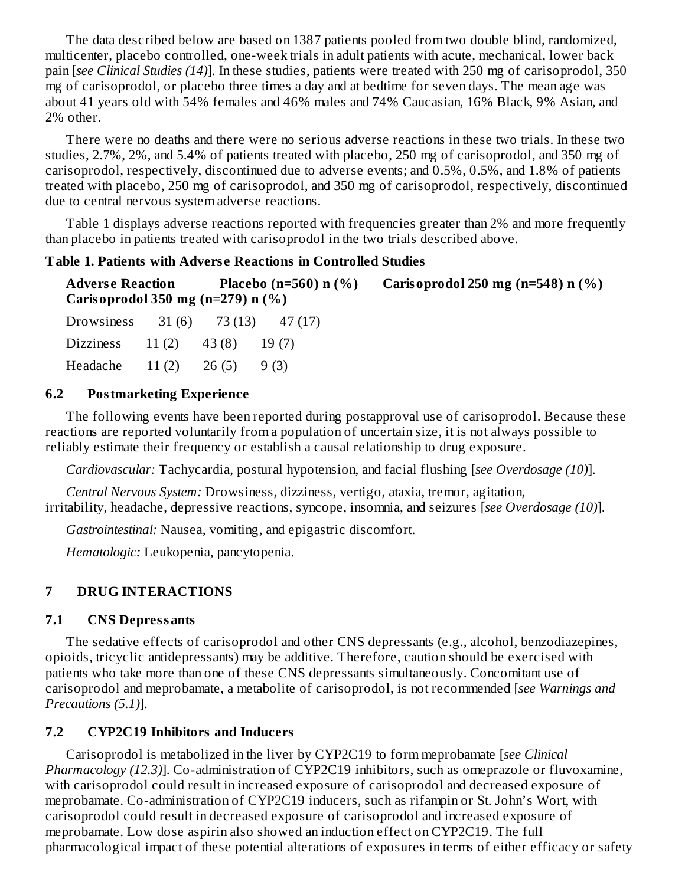The data described below are based on 1387 patients pooled from two double blind, randomized, multicenter, placebo controlled, one-week trials in adult patients with acute, mechanical, lower back pain [*see Clinical Studies (14)*]. In these studies, patients were treated with 250 mg of carisoprodol, 350 mg of carisoprodol, or placebo three times a day and at bedtime for seven days. The mean age was about 41 years old with 54% females and 46% males and 74% Caucasian, 16% Black, 9% Asian, and 2% other.

There were no deaths and there were no serious adverse reactions in these two trials. In these two studies, 2.7%, 2%, and 5.4% of patients treated with placebo, 250 mg of carisoprodol, and 350 mg of carisoprodol, respectively, discontinued due to adverse events; and 0.5%, 0.5%, and 1.8% of patients treated with placebo, 250 mg of carisoprodol, and 350 mg of carisoprodol, respectively, discontinued due to central nervous system adverse reactions.

Table 1 displays adverse reactions reported with frequencies greater than 2% and more frequently than placebo in patients treated with carisoprodol in the two trials described above.

### **Table 1. Patients with Advers e Reactions in Controlled Studies**

**Advers e Reaction Placebo (n=560) n (%) Carisoprodol 250 mg (n=548) n (%) Carisoprodol 350 mg (n=279) n (%)**

| Drowsiness       | 31(6) | 73 (13) | 47(17) |
|------------------|-------|---------|--------|
| <b>Dizziness</b> | 11(2) | 43(8)   | 19(7)  |
| Headache         | 11(2) | 26(5)   | 9 (3)  |

### **6.2 Postmarketing Experience**

The following events have been reported during postapproval use of carisoprodol. Because these reactions are reported voluntarily from a population of uncertain size, it is not always possible to reliably estimate their frequency or establish a causal relationship to drug exposure.

*Cardiovascular:* Tachycardia, postural hypotension, and facial flushing [*see Overdosage (10)*].

*Central Nervous System:* Drowsiness, dizziness, vertigo, ataxia, tremor, agitation, irritability, headache, depressive reactions, syncope, insomnia, and seizures [*see Overdosage (10)*].

*Gastrointestinal:* Nausea, vomiting, and epigastric discomfort.

*Hematologic:* Leukopenia, pancytopenia.

# **7 DRUG INTERACTIONS**

### **7.1 CNS Depressants**

The sedative effects of carisoprodol and other CNS depressants (e.g., alcohol, benzodiazepines, opioids, tricyclic antidepressants) may be additive. Therefore, caution should be exercised with patients who take more than one of these CNS depressants simultaneously. Concomitant use of carisoprodol and meprobamate, a metabolite of carisoprodol, is not recommended [*see Warnings and Precautions (5.1)*].

# **7.2 CYP2C19 Inhibitors and Inducers**

Carisoprodol is metabolized in the liver by CYP2C19 to form meprobamate [*see Clinical Pharmacology (12.3)*]. Co-administration of CYP2C19 inhibitors, such as omeprazole or fluvoxamine, with carisoprodol could result in increased exposure of carisoprodol and decreased exposure of meprobamate. Co-administration of CYP2C19 inducers, such as rifampin or St. John's Wort, with carisoprodol could result in decreased exposure of carisoprodol and increased exposure of meprobamate. Low dose aspirin also showed an induction effect on CYP2C19. The full pharmacological impact of these potential alterations of exposures in terms of either efficacy or safety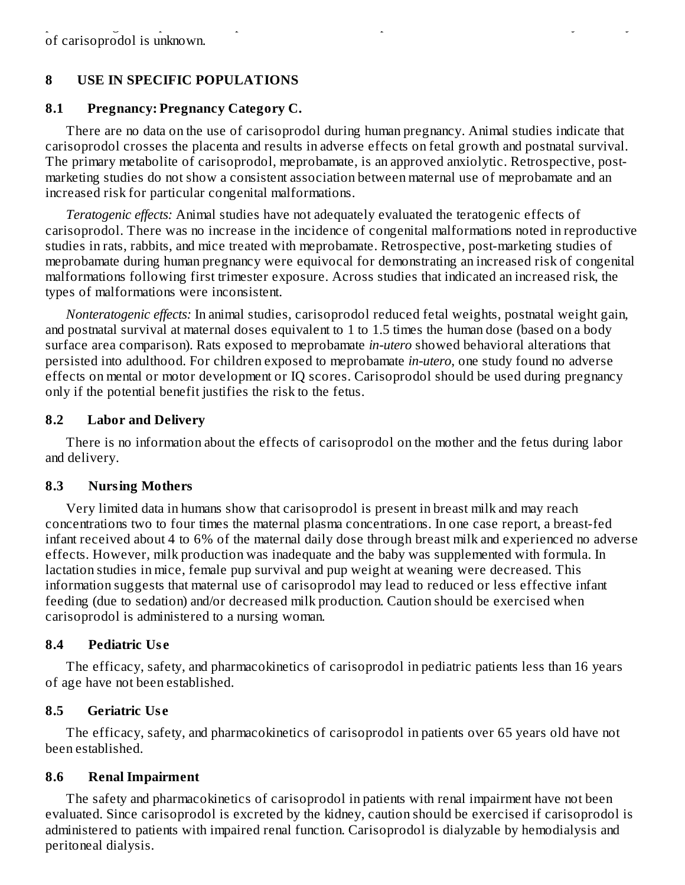# **8 USE IN SPECIFIC POPULATIONS**

### **8.1 Pregnancy: Pregnancy Category C.**

There are no data on the use of carisoprodol during human pregnancy. Animal studies indicate that carisoprodol crosses the placenta and results in adverse effects on fetal growth and postnatal survival. The primary metabolite of carisoprodol, meprobamate, is an approved anxiolytic. Retrospective, postmarketing studies do not show a consistent association between maternal use of meprobamate and an increased risk for particular congenital malformations.

*Teratogenic effects:* Animal studies have not adequately evaluated the teratogenic effects of carisoprodol. There was no increase in the incidence of congenital malformations noted in reproductive studies in rats, rabbits, and mice treated with meprobamate. Retrospective, post-marketing studies of meprobamate during human pregnancy were equivocal for demonstrating an increased risk of congenital malformations following first trimester exposure. Across studies that indicated an increased risk, the types of malformations were inconsistent.

*Nonteratogenic effects:* In animal studies, carisoprodol reduced fetal weights, postnatal weight gain, and postnatal survival at maternal doses equivalent to 1 to 1.5 times the human dose (based on a body surface area comparison). Rats exposed to meprobamate *in-utero* showed behavioral alterations that persisted into adulthood. For children exposed to meprobamate *in-utero*, one study found no adverse effects on mental or motor development or IQ scores. Carisoprodol should be used during pregnancy only if the potential benefit justifies the risk to the fetus.

### **8.2 Labor and Delivery**

There is no information about the effects of carisoprodol on the mother and the fetus during labor and delivery.

# **8.3 Nursing Mothers**

Very limited data in humans show that carisoprodol is present in breast milk and may reach concentrations two to four times the maternal plasma concentrations. In one case report, a breast-fed infant received about 4 to 6% of the maternal daily dose through breast milk and experienced no adverse effects. However, milk production was inadequate and the baby was supplemented with formula. In lactation studies in mice, female pup survival and pup weight at weaning were decreased. This information suggests that maternal use of carisoprodol may lead to reduced or less effective infant feeding (due to sedation) and/or decreased milk production. Caution should be exercised when carisoprodol is administered to a nursing woman.

# **8.4 Pediatric Us e**

The efficacy, safety, and pharmacokinetics of carisoprodol in pediatric patients less than 16 years of age have not been established.

# **8.5 Geriatric Us e**

The efficacy, safety, and pharmacokinetics of carisoprodol in patients over 65 years old have not been established.

# **8.6 Renal Impairment**

The safety and pharmacokinetics of carisoprodol in patients with renal impairment have not been evaluated. Since carisoprodol is excreted by the kidney, caution should be exercised if carisoprodol is administered to patients with impaired renal function. Carisoprodol is dialyzable by hemodialysis and peritoneal dialysis.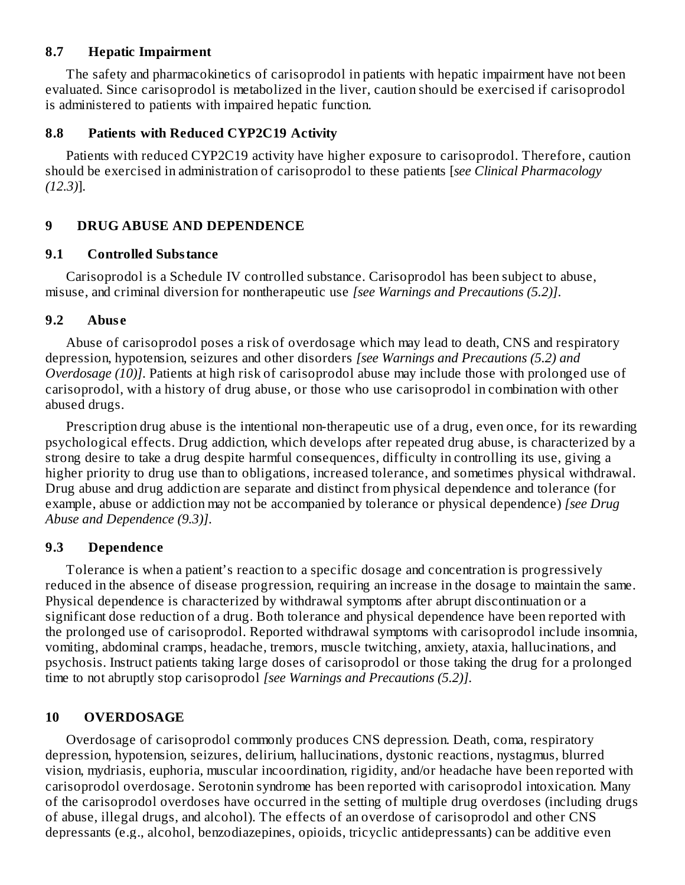### **8.7 Hepatic Impairment**

The safety and pharmacokinetics of carisoprodol in patients with hepatic impairment have not been evaluated. Since carisoprodol is metabolized in the liver, caution should be exercised if carisoprodol is administered to patients with impaired hepatic function.

#### **8.8 Patients with Reduced CYP2C19 Activity**

Patients with reduced CYP2C19 activity have higher exposure to carisoprodol. Therefore, caution should be exercised in administration of carisoprodol to these patients [*see Clinical Pharmacology (12.3)*].

### **9 DRUG ABUSE AND DEPENDENCE**

#### **9.1 Controlled Substance**

Carisoprodol is a Schedule IV controlled substance. Carisoprodol has been subject to abuse, misuse, and criminal diversion for nontherapeutic use *[see Warnings and Precautions (5.2)]*.

### **9.2 Abus e**

Abuse of carisoprodol poses a risk of overdosage which may lead to death, CNS and respiratory depression, hypotension, seizures and other disorders *[see Warnings and Precautions (5.2) and Overdosage (10)]*. Patients at high risk of carisoprodol abuse may include those with prolonged use of carisoprodol, with a history of drug abuse, or those who use carisoprodol in combination with other abused drugs.

Prescription drug abuse is the intentional non-therapeutic use of a drug, even once, for its rewarding psychological effects. Drug addiction, which develops after repeated drug abuse, is characterized by a strong desire to take a drug despite harmful consequences, difficulty in controlling its use, giving a higher priority to drug use than to obligations, increased tolerance, and sometimes physical withdrawal. Drug abuse and drug addiction are separate and distinct from physical dependence and tolerance (for example, abuse or addiction may not be accompanied by tolerance or physical dependence) *[see Drug Abuse and Dependence (9.3)]*.

### **9.3 Dependence**

Tolerance is when a patient's reaction to a specific dosage and concentration is progressively reduced in the absence of disease progression, requiring an increase in the dosage to maintain the same. Physical dependence is characterized by withdrawal symptoms after abrupt discontinuation or a significant dose reduction of a drug. Both tolerance and physical dependence have been reported with the prolonged use of carisoprodol. Reported withdrawal symptoms with carisoprodol include insomnia, vomiting, abdominal cramps, headache, tremors, muscle twitching, anxiety, ataxia, hallucinations, and psychosis. Instruct patients taking large doses of carisoprodol or those taking the drug for a prolonged time to not abruptly stop carisoprodol *[see Warnings and Precautions (5.2)]*.

### **10 OVERDOSAGE**

Overdosage of carisoprodol commonly produces CNS depression. Death, coma, respiratory depression, hypotension, seizures, delirium, hallucinations, dystonic reactions, nystagmus, blurred vision, mydriasis, euphoria, muscular incoordination, rigidity, and/or headache have been reported with carisoprodol overdosage. Serotonin syndrome has been reported with carisoprodol intoxication. Many of the carisoprodol overdoses have occurred in the setting of multiple drug overdoses (including drugs of abuse, illegal drugs, and alcohol). The effects of an overdose of carisoprodol and other CNS depressants (e.g., alcohol, benzodiazepines, opioids, tricyclic antidepressants) can be additive even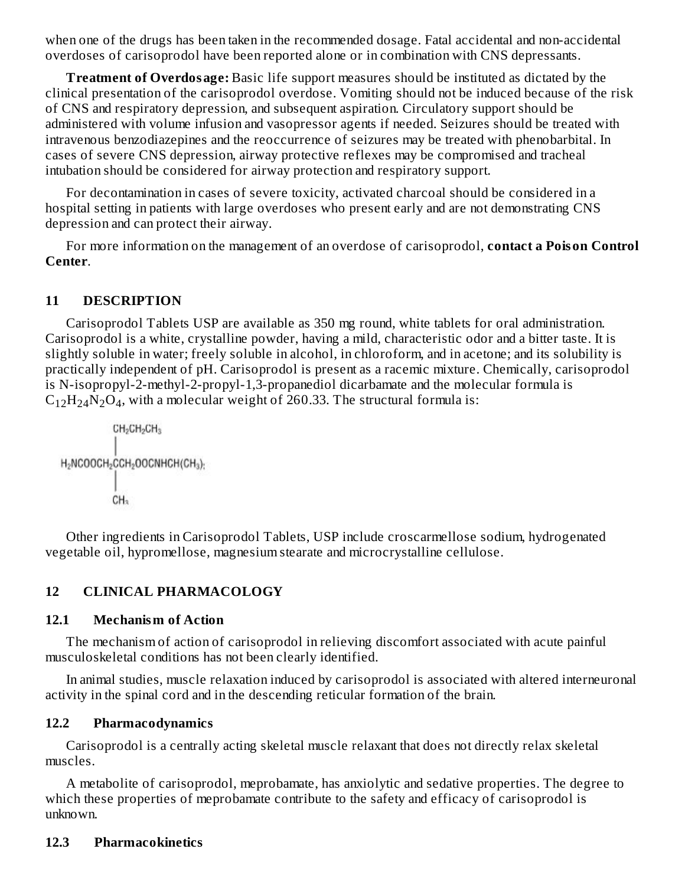when one of the drugs has been taken in the recommended dosage. Fatal accidental and non-accidental overdoses of carisoprodol have been reported alone or in combination with CNS depressants.

**Treatment of Overdosage:** Basic life support measures should be instituted as dictated by the clinical presentation of the carisoprodol overdose. Vomiting should not be induced because of the risk of CNS and respiratory depression, and subsequent aspiration. Circulatory support should be administered with volume infusion and vasopressor agents if needed. Seizures should be treated with intravenous benzodiazepines and the reoccurrence of seizures may be treated with phenobarbital. In cases of severe CNS depression, airway protective reflexes may be compromised and tracheal intubation should be considered for airway protection and respiratory support.

For decontamination in cases of severe toxicity, activated charcoal should be considered in a hospital setting in patients with large overdoses who present early and are not demonstrating CNS depression and can protect their airway.

For more information on the management of an overdose of carisoprodol, **contact a Poison Control Center**.

### **11 DESCRIPTION**

Carisoprodol Tablets USP are available as 350 mg round, white tablets for oral administration. Carisoprodol is a white, crystalline powder, having a mild, characteristic odor and a bitter taste. It is slightly soluble in water; freely soluble in alcohol, in chloroform, and in acetone; and its solubility is practically independent of pH. Carisoprodol is present as a racemic mixture. Chemically, carisoprodol is N-isopropyl-2-methyl-2-propyl-1,3-propanediol dicarbamate and the molecular formula is  $C_{12}H_{24}N_2O_4$ , with a molecular weight of 260.33. The structural formula is:

$$
\begin{matrix}CH_2CH_2CH_3\\ |\\ H_2NCOOCH_2CCH_2OOCNHCH(CH_3);\\ |\\ CH_3\end{matrix}
$$

Other ingredients in Carisoprodol Tablets, USP include croscarmellose sodium, hydrogenated vegetable oil, hypromellose, magnesium stearate and microcrystalline cellulose.

### **12 CLINICAL PHARMACOLOGY**

### **12.1 Mechanism of Action**

The mechanism of action of carisoprodol in relieving discomfort associated with acute painful musculoskeletal conditions has not been clearly identified.

In animal studies, muscle relaxation induced by carisoprodol is associated with altered interneuronal activity in the spinal cord and in the descending reticular formation of the brain.

### **12.2 Pharmacodynamics**

Carisoprodol is a centrally acting skeletal muscle relaxant that does not directly relax skeletal muscles.

A metabolite of carisoprodol, meprobamate, has anxiolytic and sedative properties. The degree to which these properties of meprobamate contribute to the safety and efficacy of carisoprodol is unknown.

### **12.3 Pharmacokinetics**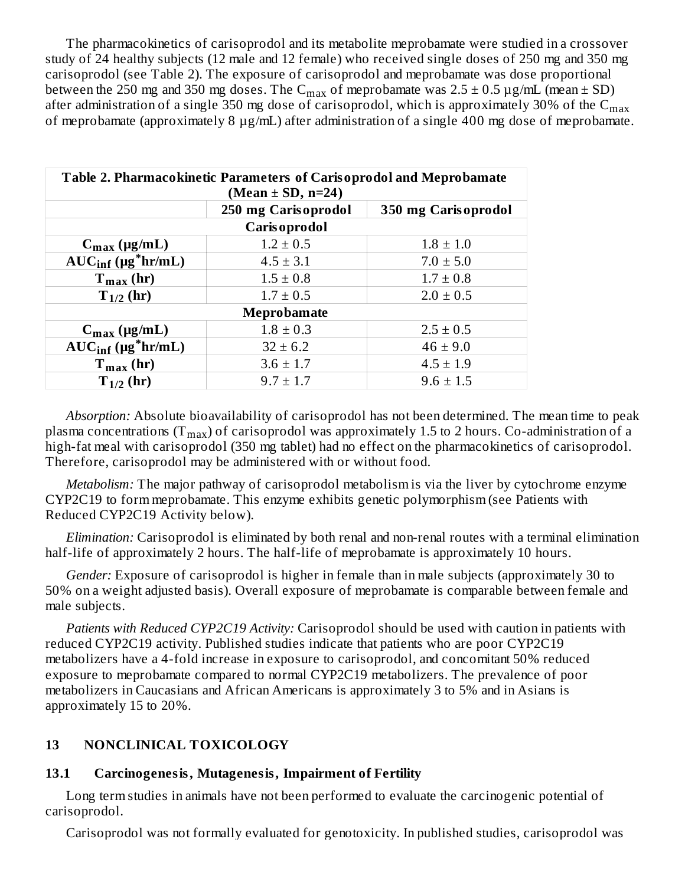The pharmacokinetics of carisoprodol and its metabolite meprobamate were studied in a crossover study of 24 healthy subjects (12 male and 12 female) who received single doses of 250 mg and 350 mg carisoprodol (see Table 2). The exposure of carisoprodol and meprobamate was dose proportional between the 250 mg and 350 mg doses. The  $\rm C_{max}$  of meprobamate was 2.5  $\pm$  0.5  $\rm \mu g/mL$  (mean  $\pm$  SD) after administration of a single 350 mg dose of carisoprodol, which is approximately 30% of the  $\rm{C_{max}}$ of meprobamate (approximately 8 µg/mL) after administration of a single 400 mg dose of meprobamate.

| Table 2. Pharmacokinetic Parameters of Carisoprodol and Meprobamate<br>(Mean ± SD, n=24) |                                            |               |  |  |  |  |  |
|------------------------------------------------------------------------------------------|--------------------------------------------|---------------|--|--|--|--|--|
|                                                                                          | 250 mg Carisoprodol<br>350 mg Carisoprodol |               |  |  |  |  |  |
|                                                                                          | <b>Carisoprodol</b>                        |               |  |  |  |  |  |
| $C_{\text{max}}$ (µg/mL)                                                                 | $1.2 \pm 0.5$                              | $1.8 \pm 1.0$ |  |  |  |  |  |
| $AUC_{\text{inf}}$ (µg*hr/mL)                                                            | $4.5 \pm 3.1$                              | $7.0 \pm 5.0$ |  |  |  |  |  |
| $T_{max}$ (hr)                                                                           | $1.5 \pm 0.8$                              | $1.7 \pm 0.8$ |  |  |  |  |  |
| $T_{1/2}$ (hr)                                                                           | $1.7 \pm 0.5$                              | $2.0 \pm 0.5$ |  |  |  |  |  |
| <b>Meprobamate</b>                                                                       |                                            |               |  |  |  |  |  |
| $C_{\text{max}}$ (µg/mL)                                                                 | $1.8 \pm 0.3$                              | $2.5 \pm 0.5$ |  |  |  |  |  |
| $AUC_{inf}$ (µg*hr/mL)                                                                   | $32 \pm 6.2$                               | $46 \pm 9.0$  |  |  |  |  |  |
| $T_{max}$ (hr)                                                                           | $3.6 \pm 1.7$                              | $4.5 \pm 1.9$ |  |  |  |  |  |
| $T_{1/2}$ (hr)                                                                           | $9.7 \pm 1.7$                              | $9.6 \pm 1.5$ |  |  |  |  |  |

*Absorption:* Absolute bioavailability of carisoprodol has not been determined. The mean time to peak plasma concentrations (T $_{\rm max}$ ) of carisoprodol was approximately 1.5 to 2 hours. Co-administration of a high-fat meal with carisoprodol (350 mg tablet) had no effect on the pharmacokinetics of carisoprodol. Therefore, carisoprodol may be administered with or without food.

*Metabolism:* The major pathway of carisoprodol metabolism is via the liver by cytochrome enzyme CYP2C19 to form meprobamate. This enzyme exhibits genetic polymorphism (see Patients with Reduced CYP2C19 Activity below).

*Elimination:* Carisoprodol is eliminated by both renal and non-renal routes with a terminal elimination half-life of approximately 2 hours. The half-life of meprobamate is approximately 10 hours.

*Gender:* Exposure of carisoprodol is higher in female than in male subjects (approximately 30 to 50% on a weight adjusted basis). Overall exposure of meprobamate is comparable between female and male subjects.

*Patients with Reduced CYP2C19 Activity:* Carisoprodol should be used with caution in patients with reduced CYP2C19 activity. Published studies indicate that patients who are poor CYP2C19 metabolizers have a 4-fold increase in exposure to carisoprodol, and concomitant 50% reduced exposure to meprobamate compared to normal CYP2C19 metabolizers. The prevalence of poor metabolizers in Caucasians and African Americans is approximately 3 to 5% and in Asians is approximately 15 to 20%.

# **13 NONCLINICAL TOXICOLOGY**

### **13.1 Carcinogenesis, Mutagenesis, Impairment of Fertility**

Long term studies in animals have not been performed to evaluate the carcinogenic potential of carisoprodol.

Carisoprodol was not formally evaluated for genotoxicity. In published studies, carisoprodol was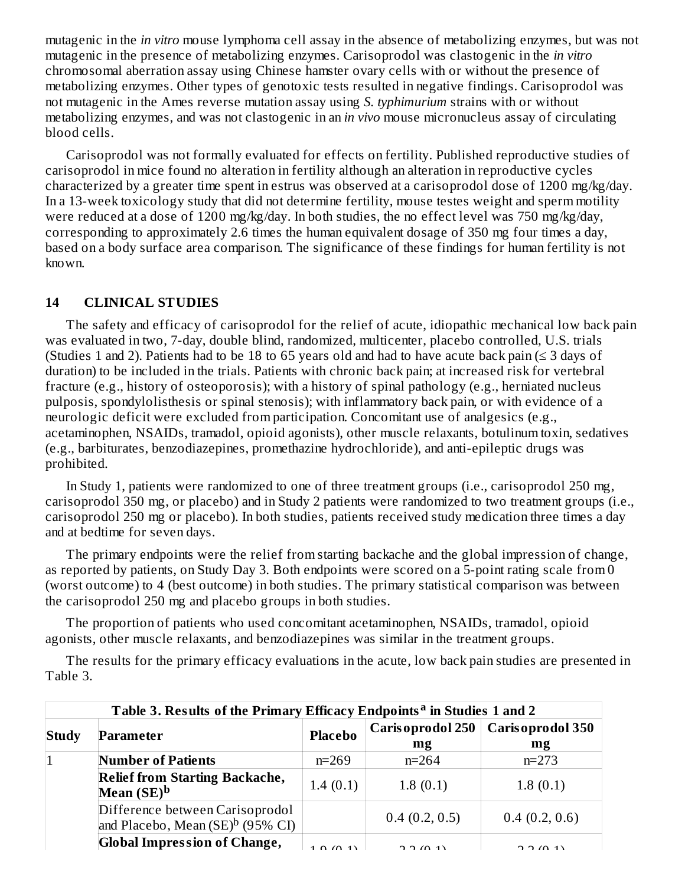mutagenic in the *in vitro* mouse lymphoma cell assay in the absence of metabolizing enzymes, but was not mutagenic in the presence of metabolizing enzymes. Carisoprodol was clastogenic in the *in vitro* chromosomal aberration assay using Chinese hamster ovary cells with or without the presence of metabolizing enzymes. Other types of genotoxic tests resulted in negative findings. Carisoprodol was not mutagenic in the Ames reverse mutation assay using *S. typhimurium* strains with or without metabolizing enzymes, and was not clastogenic in an *in vivo* mouse micronucleus assay of circulating blood cells.

Carisoprodol was not formally evaluated for effects on fertility. Published reproductive studies of carisoprodol in mice found no alteration in fertility although an alteration in reproductive cycles characterized by a greater time spent in estrus was observed at a carisoprodol dose of 1200 mg/kg/day. In a 13-week toxicology study that did not determine fertility, mouse testes weight and sperm motility were reduced at a dose of 1200 mg/kg/day. In both studies, the no effect level was 750 mg/kg/day, corresponding to approximately 2.6 times the human equivalent dosage of 350 mg four times a day, based on a body surface area comparison. The significance of these findings for human fertility is not known.

### **14 CLINICAL STUDIES**

The safety and efficacy of carisoprodol for the relief of acute, idiopathic mechanical low back pain was evaluated in two, 7-day, double blind, randomized, multicenter, placebo controlled, U.S. trials (Studies 1 and 2). Patients had to be 18 to 65 years old and had to have acute back pain ( $\leq$  3 days of duration) to be included in the trials. Patients with chronic back pain; at increased risk for vertebral fracture (e.g., history of osteoporosis); with a history of spinal pathology (e.g., herniated nucleus pulposis, spondylolisthesis or spinal stenosis); with inflammatory back pain, or with evidence of a neurologic deficit were excluded from participation. Concomitant use of analgesics (e.g., acetaminophen, NSAIDs, tramadol, opioid agonists), other muscle relaxants, botulinum toxin, sedatives (e.g., barbiturates, benzodiazepines, promethazine hydrochloride), and anti-epileptic drugs was prohibited.

In Study 1, patients were randomized to one of three treatment groups (i.e., carisoprodol 250 mg, carisoprodol 350 mg, or placebo) and in Study 2 patients were randomized to two treatment groups (i.e., carisoprodol 250 mg or placebo). In both studies, patients received study medication three times a day and at bedtime for seven days.

The primary endpoints were the relief from starting backache and the global impression of change, as reported by patients, on Study Day 3. Both endpoints were scored on a 5-point rating scale from 0 (worst outcome) to 4 (best outcome) in both studies. The primary statistical comparison was between the carisoprodol 250 mg and placebo groups in both studies.

The proportion of patients who used concomitant acetaminophen, NSAIDs, tramadol, opioid agonists, other muscle relaxants, and benzodiazepines was similar in the treatment groups.

The results for the primary efficacy evaluations in the acute, low back pain studies are presented in Table 3.

| Table 3. Results of the Primary Efficacy Endpoints <sup>a</sup> in Studies 1 and 2 |                                                                        |                |                         |                        |  |  |  |
|------------------------------------------------------------------------------------|------------------------------------------------------------------------|----------------|-------------------------|------------------------|--|--|--|
| <b>Study</b>                                                                       | Parameter                                                              | <b>Placebo</b> | Caris oprodol 250<br>mg | Carisoprodol 350<br>mg |  |  |  |
|                                                                                    | <b>Number of Patients</b>                                              | $n=269$        | $n=264$                 | $n=273$                |  |  |  |
|                                                                                    | <b>Relief from Starting Backache,</b><br>Mean $(SE)^b$                 | 1.4(0.1)       | 1.8(0.1)                | 1.8(0.1)               |  |  |  |
|                                                                                    | Difference between Carisoprodol<br>and Placebo, Mean $(SE)^b$ (95% CI) |                | 0.4(0.2, 0.5)           | 0.4(0.2, 0.6)          |  |  |  |
|                                                                                    | <b>Global Impression of Change,</b>                                    | 1.0(0.1)       | 2.011                   | 7.7(1)                 |  |  |  |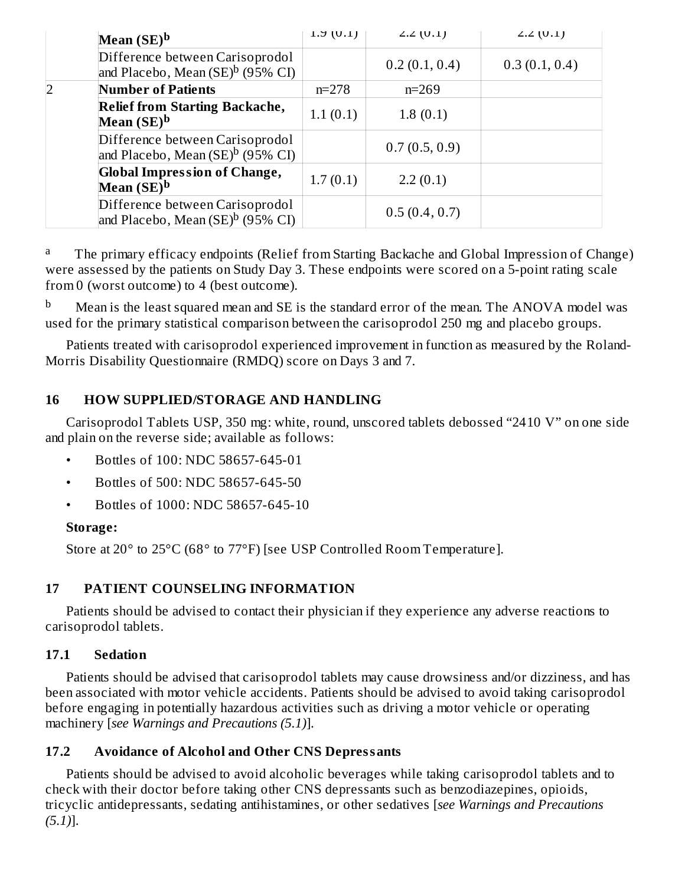|   | Mean $(SE)^b$                                                                   | 1.5(0.1)  | $2.2$ (U.1)   | $2.2$ (0.1)   |  |
|---|---------------------------------------------------------------------------------|-----------|---------------|---------------|--|
|   | Difference between Carisoprodol<br>and Placebo, Mean $(SE)^b$ (95% CI)          |           | 0.2(0.1, 0.4) | 0.3(0.1, 0.4) |  |
| 2 | <b>Number of Patients</b>                                                       | $n = 278$ | $n=269$       |               |  |
|   | <b>Relief from Starting Backache,</b><br>Mean $(SE)^b$                          | 1.1(0.1)  | 1.8(0.1)      |               |  |
|   | Difference between Carisoprodol<br>and Placebo, Mean (SE) <sup>b</sup> (95% CI) |           | 0.7(0.5, 0.9) |               |  |
|   | <b>Global Impression of Change,</b><br>Mean $(SE)^b$                            | 1.7(0.1)  | 2.2(0.1)      |               |  |
|   | Difference between Carisoprodol<br>and Placebo, Mean $(SE)^b$ (95% CI)          |           | 0.5(0.4, 0.7) |               |  |

The primary efficacy endpoints (Relief from Starting Backache and Global Impression of Change) were assessed by the patients on Study Day 3. These endpoints were scored on a 5-point rating scale from 0 (worst outcome) to 4 (best outcome). a

Mean is the least squared mean and SE is the standard error of the mean. The ANOVA model was used for the primary statistical comparison between the carisoprodol 250 mg and placebo groups. b

Patients treated with carisoprodol experienced improvement in function as measured by the Roland-Morris Disability Questionnaire (RMDQ) score on Days 3 and 7.

# **16 HOW SUPPLIED/STORAGE AND HANDLING**

Carisoprodol Tablets USP, 350 mg: white, round, unscored tablets debossed "2410 V" on one side and plain on the reverse side; available as follows:

- Bottles of 100: NDC 58657-645-01
- Bottles of 500: NDC 58657-645-50
- Bottles of 1000: NDC 58657-645-10

### **Storage:**

Store at 20° to 25°C (68° to 77°F) [see USP Controlled Room Temperature].

# **17 PATIENT COUNSELING INFORMATION**

Patients should be advised to contact their physician if they experience any adverse reactions to carisoprodol tablets.

### **17.1 Sedation**

Patients should be advised that carisoprodol tablets may cause drowsiness and/or dizziness, and has been associated with motor vehicle accidents. Patients should be advised to avoid taking carisoprodol before engaging in potentially hazardous activities such as driving a motor vehicle or operating machinery [*see Warnings and Precautions (5.1)*].

### **17.2 Avoidance of Alcohol and Other CNS Depressants**

Patients should be advised to avoid alcoholic beverages while taking carisoprodol tablets and to check with their doctor before taking other CNS depressants such as benzodiazepines, opioids, tricyclic antidepressants, sedating antihistamines, or other sedatives [*see Warnings and Precautions (5.1)*].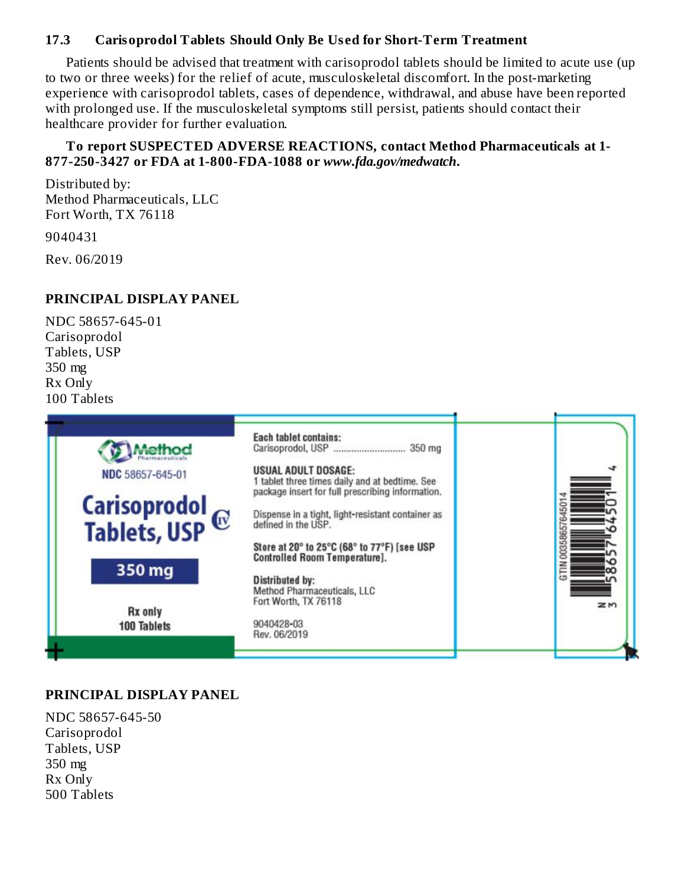### **17.3 Carisoprodol Tablets Should Only Be Us ed for Short-Term Treatment**

Patients should be advised that treatment with carisoprodol tablets should be limited to acute use (up to two or three weeks) for the relief of acute, musculoskeletal discomfort. In the post-marketing experience with carisoprodol tablets, cases of dependence, withdrawal, and abuse have been reported with prolonged use. If the musculoskeletal symptoms still persist, patients should contact their healthcare provider for further evaluation.

#### **To report SUSPECTED ADVERSE REACTIONS, contact Method Pharmaceuticals at 1- 877-250-3427 or FDA at 1-800-FDA-1088 or** *www.fda.gov/medwatch***.**

Distributed by: Method Pharmaceuticals, LLC Fort Worth, TX 76118 9040431

Rev. 06/2019

#### **PRINCIPAL DISPLAY PANEL**

NDC 58657-645-01 Carisoprodol Tablets, USP 350 mg Rx Only 100 Tablets



#### **PRINCIPAL DISPLAY PANEL**

NDC 58657-645-50 Carisoprodol Tablets, USP 350 mg Rx Only 500 Tablets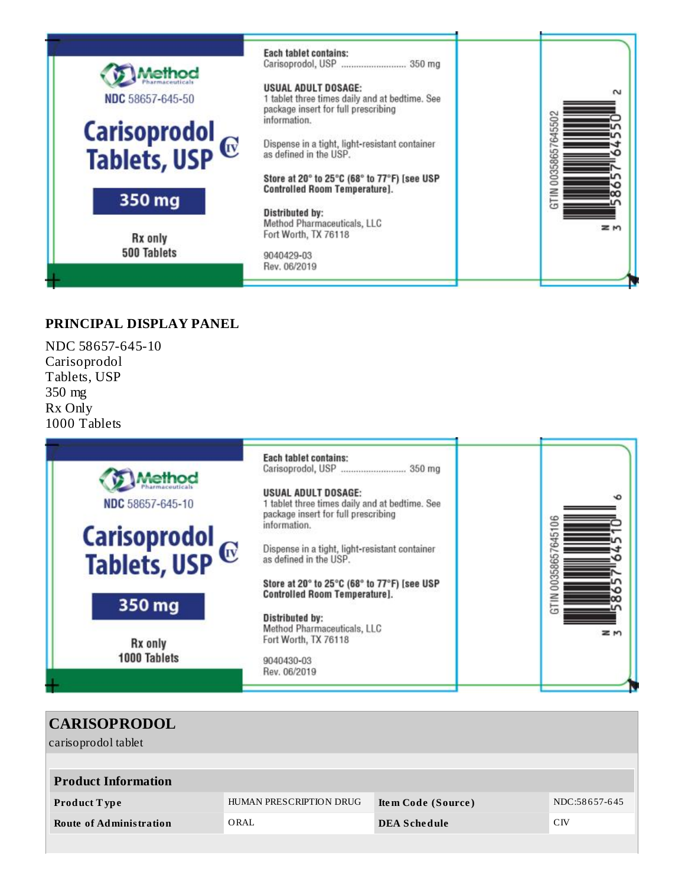

#### **PRINCIPAL DISPLAY PANEL**

NDC 58657-645-10 Carisoprodol Tablets, USP 350 mg Rx Only 1000 Tablets



| <b>CARISOPRODOL</b><br>carisoprodol tablet |                         |                     |                 |
|--------------------------------------------|-------------------------|---------------------|-----------------|
| <b>Product Information</b>                 |                         |                     |                 |
| <b>Product Type</b>                        | HUMAN PRESCRIPTION DRUG | Item Code (Source)  | NDC:58657-645   |
| <b>Route of Administration</b>             | ORAL                    | <b>DEA Schedule</b> | C <sub>IV</sub> |